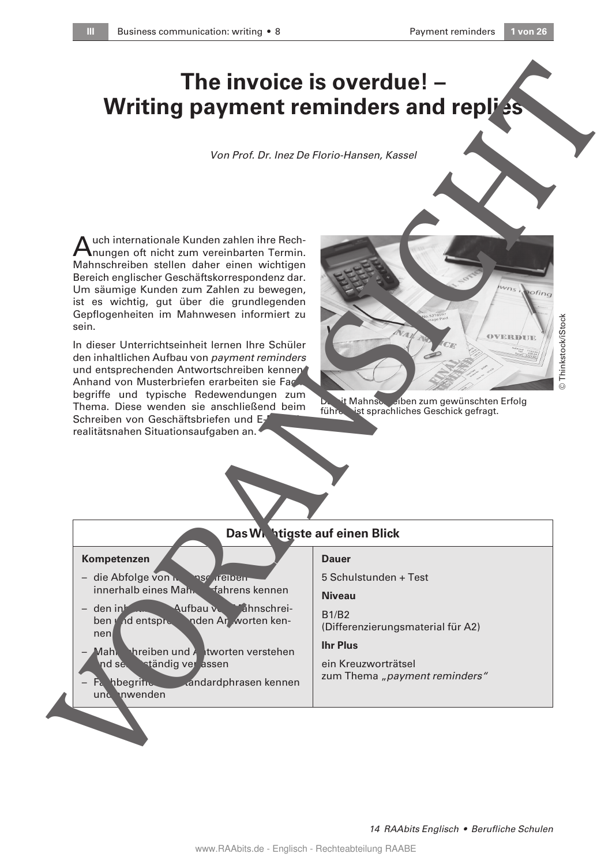# **The invoice is overdue! – Writing payment reminders and replies**

#### Von Prof. Dr. Inez De Florio-Hansen, Kassel



it Mahnschreiben zum gewünschten Erfolg führen, ist sprachliches Geschick gefragt.



|                                                                                                                                                                                                                                                                                                                                                                                                                                                                                                                                                                                                                                                                                                                          | Von Prof. Dr. Inez De Florio-Hansen, Kassel                                                                                     |  |  |
|--------------------------------------------------------------------------------------------------------------------------------------------------------------------------------------------------------------------------------------------------------------------------------------------------------------------------------------------------------------------------------------------------------------------------------------------------------------------------------------------------------------------------------------------------------------------------------------------------------------------------------------------------------------------------------------------------------------------------|---------------------------------------------------------------------------------------------------------------------------------|--|--|
|                                                                                                                                                                                                                                                                                                                                                                                                                                                                                                                                                                                                                                                                                                                          |                                                                                                                                 |  |  |
| uch internationale Kunden zahlen ihre Rech-<br>Inungen oft nicht zum vereinbarten Termin.<br>Mahnschreiben stellen daher einen wichtigen<br>Bereich englischer Geschäftskorrespondenz dar.<br>Um säumige Kunden zum Zahlen zu bewegen,<br>ist es wichtig, gut über die grundlegenden<br>Gepflogenheiten im Mahnwesen informiert zu<br>sein.<br>In dieser Unterrichtseinheit lernen Ihre Schüler<br>den inhaltlichen Aufbau von payment reminders<br>und entsprechenden Antwortschreiben kennen<br>Anhand von Musterbriefen erarbeiten sie Fac.<br>begriffe und typische Redewendungen zum<br>Thema. Diese wenden sie anschließend beim<br>Schreiben von Geschäftsbriefen und E-<br>realitätsnahen Situationsaufgaben an. | pofing<br>0.52185<br>© Thinkstock/iStock<br>it Mahnschuschen zum gewünschten Erfolg<br>führe ist sprachliches Geschick gefragt. |  |  |
| Das W. htigste auf einen Blick                                                                                                                                                                                                                                                                                                                                                                                                                                                                                                                                                                                                                                                                                           |                                                                                                                                 |  |  |
| Kompetenzen<br>- die Abfolge von N<br>nsr reiben<br>innerhalb eines Mah. fahrens kennen                                                                                                                                                                                                                                                                                                                                                                                                                                                                                                                                                                                                                                  | <b>Dauer</b><br>5 Schulstunden + Test<br><b>Niveau</b>                                                                          |  |  |
| nden Ar worten ken-<br>ben y id entspre<br>$n$ en                                                                                                                                                                                                                                                                                                                                                                                                                                                                                                                                                                                                                                                                        | <b>B1/B2</b><br>(Differenzierungsmaterial für A2)                                                                               |  |  |
| Mahl hreiben und Altworten verstehen                                                                                                                                                                                                                                                                                                                                                                                                                                                                                                                                                                                                                                                                                     | <b>Ihr Plus</b><br>ein Kreuzworträtsel                                                                                          |  |  |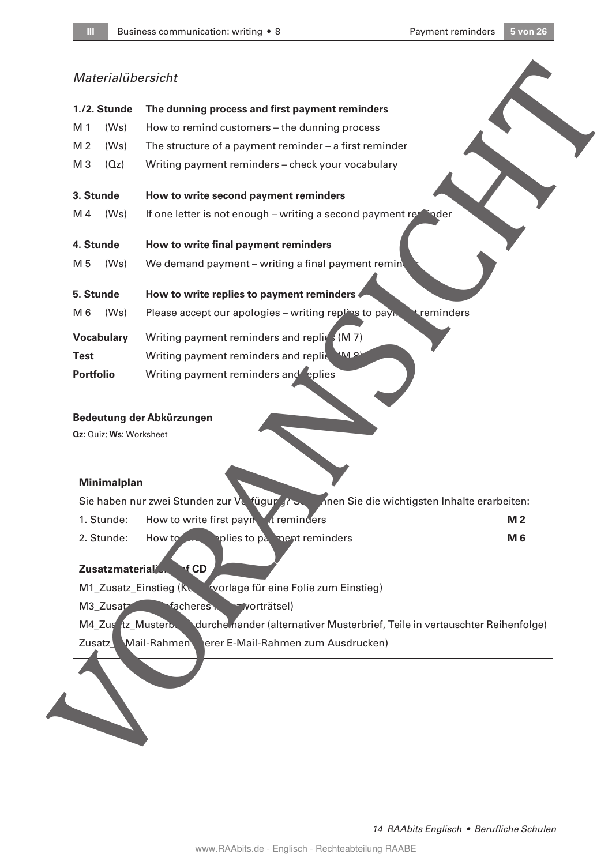## Materialübersicht

|                  | 1./2. Stunde            | The dunning process and first payment reminders                                                   |  |
|------------------|-------------------------|---------------------------------------------------------------------------------------------------|--|
| M 1              | (Ws)                    | How to remind customers - the dunning process                                                     |  |
| M 2              | (Ws)                    | The structure of a payment reminder $-$ a first reminder                                          |  |
| M <sub>3</sub>   | (Qz)                    | Writing payment reminders - check your vocabulary                                                 |  |
|                  | 3. Stunde               | How to write second payment reminders                                                             |  |
| M 4              | (Ws)                    | If one letter is not enough - writing a second payment remainder                                  |  |
|                  | 4. Stunde               | How to write final payment reminders                                                              |  |
| M 5              | (Ws)                    | We demand payment - writing a final payment remin                                                 |  |
|                  | 5. Stunde               | How to write replies to payment reminders                                                         |  |
| M 6              | (Ws)                    | treminders<br>Please accept our apologies - writing replies to payn.                              |  |
|                  | <b>Vocabulary</b>       | Writing payment reminders and replic, (M 7)                                                       |  |
| <b>Test</b>      |                         | Writing payment reminders and replice MARY                                                        |  |
| <b>Portfolio</b> |                         | Writing payment reminders and eplies                                                              |  |
|                  |                         |                                                                                                   |  |
|                  | Qz: Quiz; Ws: Worksheet | Bedeutung der Abkürzungen                                                                         |  |
|                  |                         |                                                                                                   |  |
|                  | <b>Minimalplan</b>      |                                                                                                   |  |
|                  |                         | nnen Sie die wichtigsten Inhalte erarbeiten:<br>Sie haben nur zwei Stunden zur Verfügung?         |  |
|                  |                         | 1. Stunde: How to write first payn<br><i>I</i> t reminders<br>M <sub>2</sub>                      |  |
|                  | 2. Stunde:              | plies to pa ment reminders<br>M 6<br>How to <b>Allege to Allege</b>                               |  |
|                  | Zusatzmaterial          | $\mathbf{f}$ CD                                                                                   |  |
|                  |                         | tvorlage für eine Folie zum Einstieg)<br>M1_Zusatz_Einstieg (Kc.                                  |  |
|                  | M3_Zusatz               | facheres vorträtsel)                                                                              |  |
|                  |                         | durche nander (alternativer Musterbrief, Teile in vertauschter Reihenfolge)<br>M4_Zus tz_Musterb. |  |
| Zusatz           |                         | Mail-Rahmen<br>erer E-Mail-Rahmen zum Ausdrucken)                                                 |  |
|                  |                         |                                                                                                   |  |
|                  |                         |                                                                                                   |  |
|                  |                         |                                                                                                   |  |

#### **Bedeutung der Abkürzungen**

#### **Minimalplan**

|                                                                 | Sie haben nur zwei Stunden zur Vurfügung zw. Innen Sie die wichtigsten Inhalte erarbeiten: |           |  |  |  |
|-----------------------------------------------------------------|--------------------------------------------------------------------------------------------|-----------|--|--|--|
| 1. Stunde:                                                      | How to write first payn<br>t reminders                                                     | <b>M2</b> |  |  |  |
| 2. Stunde:                                                      | plies to pa ment reminders<br>How to                                                       | M 6       |  |  |  |
| Zusatzmaterial<br>f CD                                          |                                                                                            |           |  |  |  |
| M1_Zusatz_Einstieg (Re<br>svorlage für eine Folie zum Einstieg) |                                                                                            |           |  |  |  |
| M3 Zusatz                                                       | <b>Macheres</b><br>₩worträtsel)                                                            |           |  |  |  |
| M4 Zus tz Musterb.                                              | durche nander (alternativer Musterbrief, Teile in vertauschter Reihenfolge)                |           |  |  |  |
| Zusatz                                                          | erer E-Mail-Rahmen zum Ausdrucken)<br>Mail-Rahmen                                          |           |  |  |  |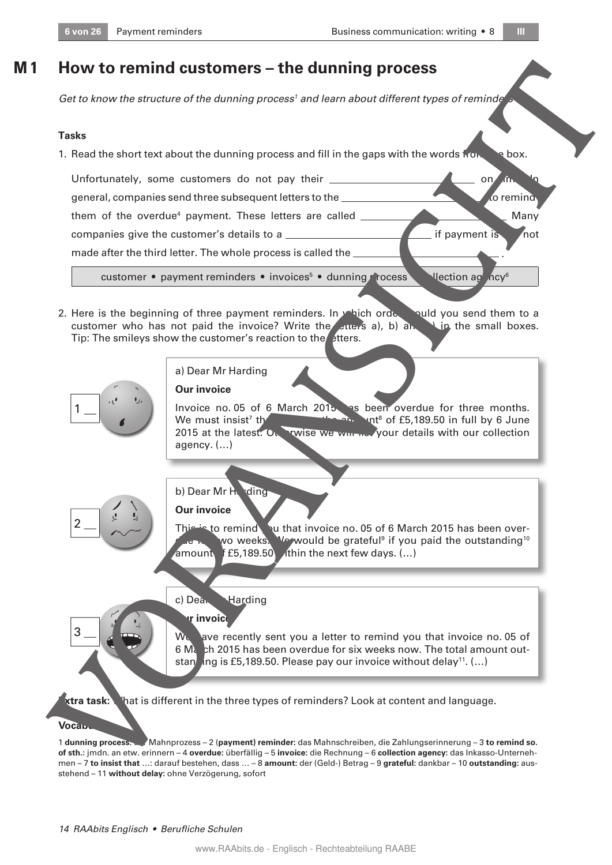**Tasks**

**M 1**

1. Read the short text about the dunning process and fill in the gaps with the words from the box.

Get to know the structure of the dunning process<sup>1</sup> and learn about different types of reminde<sup>r</sup>s

**How to remind customers – the dunning process** 



2. Here is the beginning of three payment reminders. In which order would you send them to a customer who has not paid the invoice? Write the *Luers* a), b) and **letter** the small boxes. Tip: The smileys show the customer's reaction to the etters.



#### a) Dear Mr Harding

**Our invoice**

Invoice no. 05 of 6 March 2015 as been overdue for three months. We must insist 7  $t$ h amount of £5,189.50 in full by 6 June 2015 at the latest. Our rwise we win  $\sim$  your details with our collection agency. (…)

## b) Dear Mr Harding

**Our invoice** 

This is to remind yu that invoice no. 05 of 6 March 2015 has been over- $\bigcap_{n\in\mathbb{N}}$  wo weeks. We would be grateful<sup>9</sup> if you paid the outstanding<sup>10</sup> amount f  $E5,189.50$  thin the next few days. (...)

#### c) Dear Harding

#### **r** invoice

We have recently sent you a letter to remind you that invoice no. 05 of 6 March 2015 has been overdue for six weeks now. The total amount outstan ing is £5,189.50. Please pay our invoice without delay<sup>11</sup>. (...)

**Extra task:** What is different in the three types of reminders? Look at content and language.

#### **Voca<sub>b</sub>**

 $3\equiv$ 

 $\overline{2}$ 

1 **dunning process:** der Mahnprozess – 2 (**payment) reminder:** das Mahnschreiben, die Zahlungserinnerung – 3 **to remind so. of sth.:** jmdn. an etw. erinnern – 4 **overdue:** überfällig – 5 **invoice:** die Rechnung – 6 **collection agency:** das Inkasso-Unternehmen – 7 **to insist that** …: darauf bestehen, dass … – 8 **amount:** der (Geld-) Betrag – 9 **grateful:** dankbar – 10 **outstanding:** ausstehend – 11 **without delay:** ohne Verzögerung, sofort

.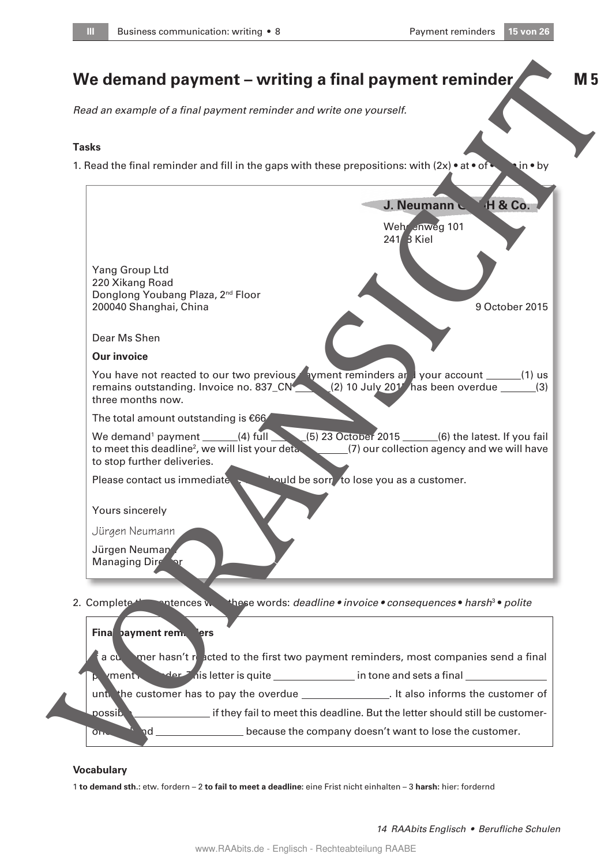**M 5**

# **We demand payment – writing a final payment reminder**

Read an example of a final payment reminder and write one yourself.

#### **Tasks**

1. Read the final reminder and fill in the gaps with these prepositions: with  $(2x) \cdot at \cdot of \cdot \cdot \cdot$  in  $\cdot$  by



#### **Vocabulary**

1 **to demand sth.:** etw. fordern – 2 **to fail to meet a deadline:** eine Frist nicht einhalten – 3 **harsh:** hier: fordernd